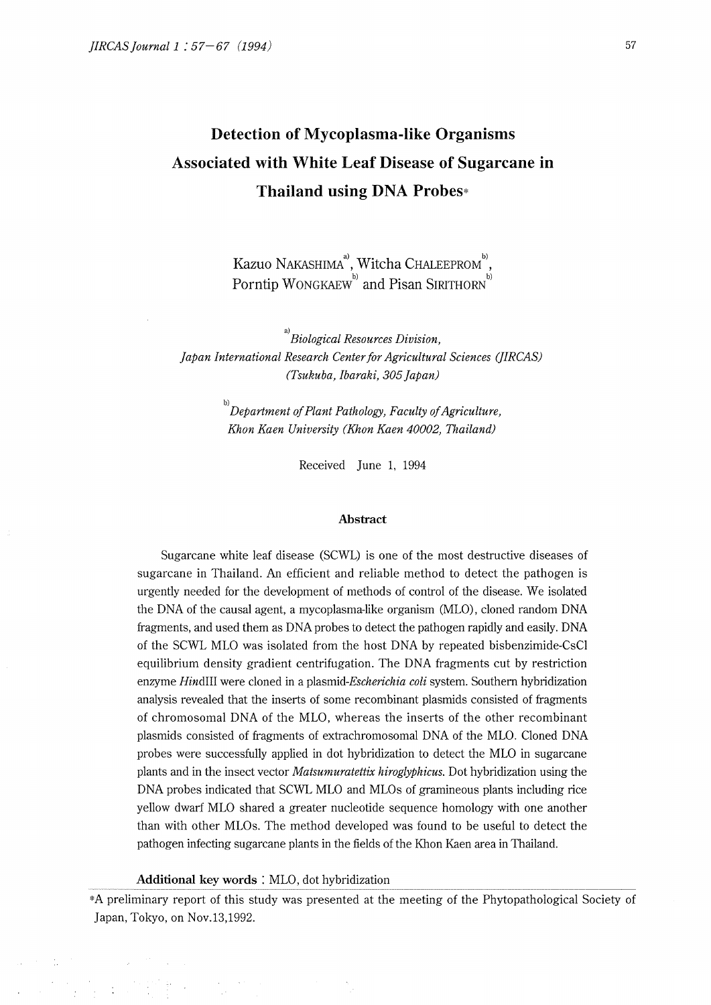# **Detection of Mycoplasma-like Organisms Associated with White Leaf Disease of Sugarcane in Thailand using DNA Probes\***

Kazuo NAKASHIMA<sup>a</sup>, Witcha Chaleeprom<sup>b</sup>, Porntip WONGKAEW<sup>b)</sup> and Pisan SIRITHORN

a) *Biological Resources Division, japan International Research Center for Agricultural Sciences (]!RCAS) (Tsukuba, Ibaraki, 305 japan)* 

> b) *Department of Plant Pathology, Faculty of Agriculture, Khon Kaen University (Khon Kaen 40002, Thailand)*

> > Received June 1, 1994

#### **Abstract**

Sugarcane white leaf disease (SCWL) is one of the most destructive diseases of sugarcane in Thailand. An efficient and reliable method to detect the pathogen is urgently needed for the development of methods of control of the disease. We isolated the DNA of the causal agent, a mycoplasma-like organism (MLO), cloned random DNA fragments, and used them as DNA probes to detect the pathogen rapidly and easily. DNA of the SCWL MLO was isolated from the host DNA by repeated bisbenzimide-CsCl equilibrium density gradient centrifugation. The DNA fragments cut by restriction enzyme *HindIII* were cloned in a *plasmid-Escherichia coli* system. Southern hybridization analysis revealed that the inserts of some recombinant plasmids consisted of fragments of chromosomal DNA of the MLO, whereas the inserts of the other recombinant plasmids consisted of fragments of extrachromosomal DNA of the MLO. Cloned DNA probes were successfully applied in dot hybridization to detect the MLO in sugarcane plants and in the insect vector *Matsumuratettix hiroglyphicus.* Dot hybridization using the DNA probes indicated that SCWL MLO and MLOs of gramineous plants including rice yellow dwarf MLO shared a greater nucleotide sequence homology with one another than with other MLOs. The method developed was found to be useful to detect the pathogen infecting sugarcane plants in the fields of the Khon Kaen area in Thailand.

**Additional key words** : MLO, dot hybridization

\*A preliminary report of this study was presented at the meeting of the Phytopathological Society of Japan, Tokyo, on Nov.13,1992.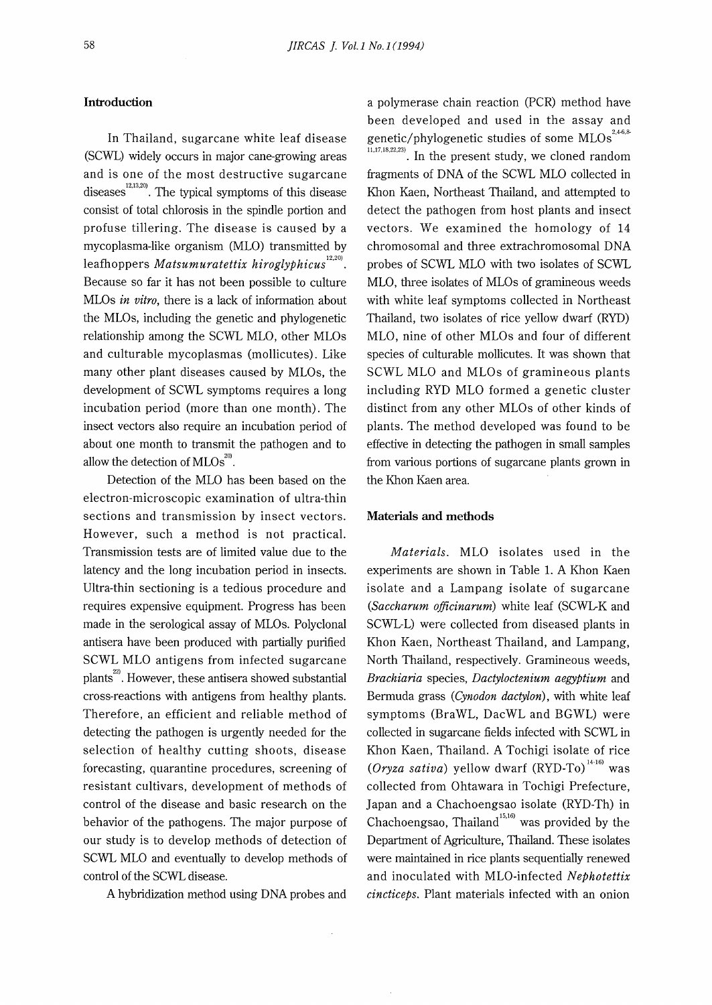## **Introduction**

In Thailand, sugarcane white leaf disease (SCWL) widely occurs in major cane-growing areas and is one of the most destructive sugarcane diseases<sup>12,13,20</sup>. The typical symptoms of this disease consist of total chlorosis in the spindle portion and profuse tillering. The disease is caused by a mycoplasma-like organism (MLO) transmitted by leafhoppers *Matsumuratettix hiroglyphicus*<sup>12,20)</sup>. Because so far it has not been possible to culture MLOs *in vitro,* there is a lack of information about the MLOs, including the genetic and phylogenetic relationship among the SCWL MLO, other MLOs and culturable mycoplasmas (mollicutes). Like many other plant diseases caused by MLOs, the development of SCWL symptoms requires a long incubation period (more than one month). The insect vectors also require an incubation period of about one month to transmit the pathogen and to allow the detection of  $MLOs^{20}$ .

Detection of the MLO has been based on the electron-microscopic examination of ultra-thin sections and transmission by insect vectors. However, such a method is not practical. Transmission tests are of limited value due to the latency and the long incubation period in insects. Ultra-thin sectioning is a tedious procedure and requires expensive equipment. Progress has been made in the serological assay of MLOs. Polyclonal antisera have been produced with partially purified SCWL MLO antigens from infected sugarcane plants<sup>22)</sup>. However, these antisera showed substantial cross-reactions with antigens from healthy plants. Therefore, an efficient and reliable method of detecting the pathogen is urgently needed for the selection of healthy cutting shoots, disease forecasting, quarantine procedures, screening of resistant cultivars, development of methods of control of the disease and basic research on the behavior of the pathogens. The major purpose of our study is to develop methods of detection of SCWL MLO and eventually to develop methods of control of the SCWL disease.

A hybridization method using DNA probes and

a polymerase chain reaction (PCR) method have been developed and used in the assay and genetic/phylogenetic studies of some  $MLOS^{^{2,4\cdot6,8}}$ 

 $11,17,18,22,23$ . In the present study, we cloned random fragments of DNA of the SCWL MLO collected in Khon Kaen, Northeast Thailand, and attempted to detect the pathogen from host plants and insect vectors. We examined the homology of 14 chromosomal and three extrachromosomal DNA probes of SCWL MLO with two isolates of SCWL MLO, three isolates of MLOs of gramineous weeds with white leaf symptoms collected in Northeast Thailand, two isolates of rice yellow dwarf (RYD) MLO, nine of other MLOs and four of different species of culturable mollicutes. It was shown that SCWL MLO and MLOs of gramineous plants including RYD MLO formed a genetic cluster distinct from any other MLOs of other kinds of plants. The method developed was found to be effective in detecting the pathogen in small samples from various portions of sugarcane plants grown in the Khon Kaen area.

#### **Materials and methods**

*Materials.* MLO isolates used in the experiments are shown in Table 1. A Khon Kaen isolate and a Lampang isolate of sugarcane *(Saccharum officinarum)* white leaf (SCWL-K and SCWL-L) were collected from diseased plants in Khon Kaen, Northeast Thailand, and Lampang, North Thailand, respectively. Gramineous weeds, *Brachiaria* species, *Dactyloctenium aegyptium* and Bermuda grass *(Cynodon dactylon),* with white leaf symptoms (BraWL, DacWL and BGWL) were collected in sugarcane fields infected with SCWL in Khon Kaen, Thailand. A Tochigi isolate of rice *(Oryza sativa)* yellow dwarf *(RYD-To)*<sup>14-16)</sup> was collected from Ohtawara in Tochigi Prefecture, Japan and a Chachoengsao isolate (RYD-Th) in Chachoengsao, Thailand $^{15,16)}$  was provided by the Department of Agriculture, Thailand. These isolates were maintained in rice plants sequentially renewed and inoculated with MLO-infected *Nephotettix cincticeps.* Plant materials infected with an onion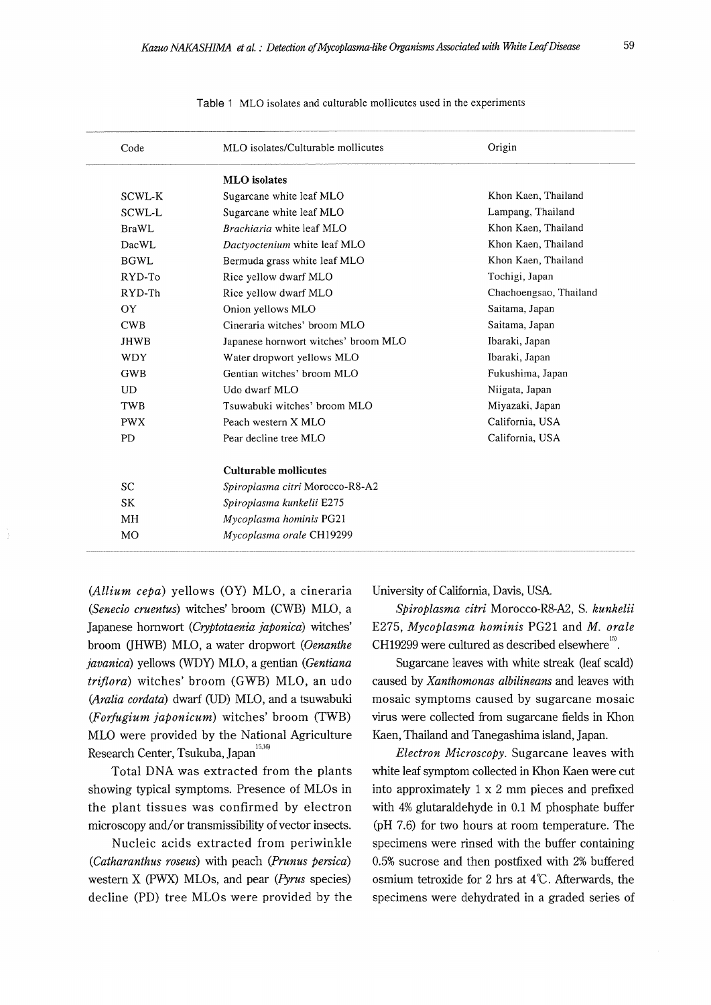| Code          | MLO isolates/Culturable mollicutes   | Origin                 |  |  |  |  |
|---------------|--------------------------------------|------------------------|--|--|--|--|
|               | <b>MLO</b> isolates                  |                        |  |  |  |  |
| SCWL-K        | Sugarcane white leaf MLO             | Khon Kaen, Thailand    |  |  |  |  |
| <b>SCWL-L</b> | Sugarcane white leaf MLO             | Lampang, Thailand      |  |  |  |  |
| <b>BraWL</b>  | Brachiaria white leaf MLO            | Khon Kaen, Thailand    |  |  |  |  |
| DacWL         | Dactyoctenium white leaf MLO         | Khon Kaen, Thailand    |  |  |  |  |
| BGWL          | Bermuda grass white leaf MLO         | Khon Kaen, Thailand    |  |  |  |  |
| $RYD-TO$      | Rice yellow dwarf MLO                | Tochigi, Japan         |  |  |  |  |
| RYD-Th        | Rice yellow dwarf MLO                | Chachoengsao, Thailand |  |  |  |  |
| OY            | Onion yellows MLO                    | Saitama, Japan         |  |  |  |  |
| CWB           | Cineraria witches' broom MLO         | Saitama, Japan         |  |  |  |  |
| <b>JHWB</b>   | Japanese hornwort witches' broom MLO | Ibaraki, Japan         |  |  |  |  |
| <b>WDY</b>    | Water dropwort yellows MLO           | Ibaraki, Japan         |  |  |  |  |
| <b>GWB</b>    | Gentian witches' broom MLO           | Fukushima, Japan       |  |  |  |  |
| <b>UD</b>     | Udo dwarf MLO                        | Niigata, Japan         |  |  |  |  |
| TWB           | Tsuwabuki witches' broom MLO         | Miyazaki, Japan        |  |  |  |  |
| <b>PWX</b>    | Peach western X MLO                  | California, USA        |  |  |  |  |
| <b>PD</b>     | Pear decline tree MLO                | California, USA        |  |  |  |  |
|               | <b>Culturable mollicutes</b>         |                        |  |  |  |  |
| <b>SC</b>     | Spiroplasma citri Morocco-R8-A2      |                        |  |  |  |  |
| <b>SK</b>     | Spiroplasma kunkelii E275            |                        |  |  |  |  |
| MH            | Mycoplasma hominis PG21              |                        |  |  |  |  |
| <b>MO</b>     | Mycoplasma orale CH19299             |                        |  |  |  |  |

Table 1 MLO isolates and culturable mollicutes used in the experiments

*(Allium cepa)* yellows (OY) MLO, a cineraria *(Senecio cruentus)* witches' broom (CWB) MLO, a Japanese homwort *(Cryptotaenia japonica)* witches' broom (JHWB) MLO, a water dropwort *(Oenanthe javanica)* yellows (WDY) MLO, a gentian *(Gentiana triffora)* witches' broom (GWB) MLO, an udo (Aralia cordata) dwarf (UD) MLO, and a tsuwabuki *(Forfugium japonicum)* witches' broom (TWB) MLO were provided by the National Agriculture Research Center, Tsukuba, Japan<sup>15,16)</sup>

Total DNA was extracted from the plants showing typical symptoms. Presence of MLOs in the plant tissues was confirmed by electron microscopy and/ or transmissibility of vector insects.

Nucleic acids extracted from periwinkle *(Catharanthus roseus)* with peach *(Prunus persica)*  western X (PWX) MLOs, and pear *(Pyrus* species) decline (PD) tree MLOs were provided by the University of California, Davis, USA

*Spiroplasma citri* Morocco-R8-A2, S. *kunkelii*  E275, *Mycoplasma hominis* PG21 and *M. orale*   $CH19299$  were cultured as described elsewhere<sup>15</sup>.

Sugarcane leaves with white streak (leaf scald) caused by *Xanthomonas albilineans* and leaves with mosaic symptoms caused by sugarcane mosaic virus were collected from sugarcane fields in Khon Kaen, Thailand and Tanegashima island, Japan.

*Electron Microscopy.* Sugarcane leaves with white leaf symptom collected in Khon Kaen were cut into approximately 1 x 2 mm pieces and prefixed with 4% glutaraldehyde in 0.1 M phosphate buffer (pH 7.6) for two hours at room temperature. The specimens were rinsed with the buffer containing 0.5% sucrose and then postfixed with 2% buffered osmium tetroxide for 2 hrs at  $4^{\circ}$ C. Afterwards, the specimens were dehydrated in a graded series of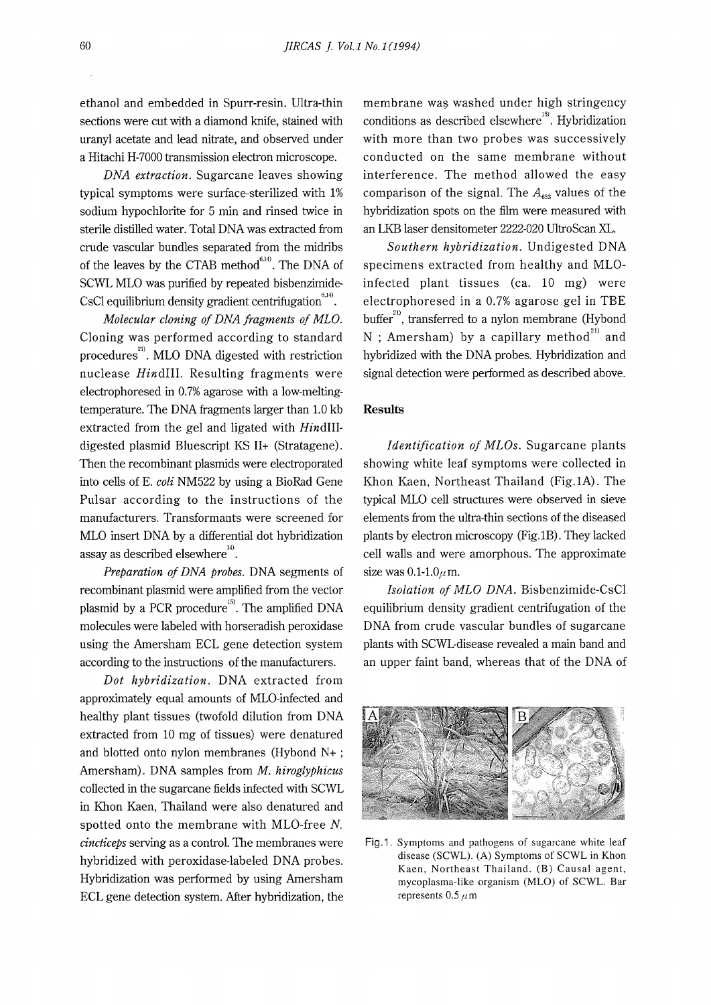ethanol and embedded in Spurr-resin. Ultra-thin sections were cut with a diamond knife, stained with uranyl acetate and lead nitrate, and observed under a Hitachi H-7000 transmission electron microscope.

*DNA extraction.* Sugarcane leaves showing typical symptoms were surface-sterilized with 1% sodium hypochlorite for 5 min and rinsed twice in sterile distilled water. Total DNA was extracted from crude vascular bundles separated from the midribs of the leaves by the CTAB method $^{6,14}$ . The DNA of SCWL MLO was purified by repeated bisbenzimide-CsCl equilibrium density gradient centrifugation  $6.14$ .

*Molecular cloning of DNA fragments of MLO.*  Cloning was performed according to standard procedures<sup>21</sup>. MLO DNA digested with restriction nuclease HindIII. Resulting fragments were electrophoresed in 0.7% agarose with a low-meltingtemperature. The DNA fragments larger than 1.0 kb extracted from the gel and ligated with *HindIII*digested plasmid Bluescript KS II+ (Stratagene). Then the recombinant plasmids were electroporated into cells of E. *coli* NM522 by using a BioRad Gene Pulsar according to the instructions of the manufacturers. Transformants were screened for MLO insert DNA by a differential dot hybridization assay as described elsewhere $14$ .

*Preparation of DNA probes.* DNA segments of recombinant plasmid were amplified from the vector plasmid by a PCR procedure<sup>15</sup>. The amplified DNA molecules were labeled with horseradish peroxidase using the Amersham ECL gene detection system according to the instructions of the manufacturers.

*Dot hybridization.* DNA extracted from approximately equal amounts of MLO-infected and healthy plant tissues (twofold dilution from DNA extracted from 10 mg of tissues) were denatured and blotted onto nylon membranes (Hybond N+ ; Amersham). DNA samples from *M. hiroglyphicus*  collected in the sugarcane fields infected with SCWL in Khon Kaen, Thailand were also denatured and spotted onto the membrane with MLO-free *N. cincticeps* serving as a control. The membranes were hybridized with peroxidase-labeled DNA probes. Hybridization was performed by using Amersham ECL gene detection system. After hybridization, the

membrane was washed under high stringency conditions as described elsewhere<sup>15)</sup>. Hybridization with more than two probes was successively conducted on the same membrane without interference. The method allowed the easy comparison of the signal. The  $A_{633}$  values of the hybridization spots on the film were measured with an LKB laser densitometer 2222-020 UltroScan XL.

*Southern hybridization.* Undigested DNA specimens extracted from healthy and MLOinfected plant tissues (ca. 10 mg) were electrophoresed in a 0.7% agarose gel in TBE<br>buffer<sup>21</sup>, transferred to a nylon membrane (Hybond N ; Amersham) by a capillary method<sup>21</sup> and hybridized with the DNA probes. Hybridization and signal detection were performed as described above.

## **Results**

*Identification of MLOs.* Sugarcane plants showing white leaf symptoms were collected in Khon Kaen, Northeast Thailand (Fig.IA). The typical MLO cell structures were observed in sieve elements from the ultra-thin sections of the diseased plants by electron microscopy (Fig.lB). They lacked cell walls and were amorphous. The approximate size was  $0.1$ -1.0 $\mu$ m.

*Isolation of MLO DNA.* Bisbenzimide-CsCl equilibrium density gradient centrifugation of the DNA from crude vascular bundles of sugarcane plants with SCWL-disease revealed a main band and an upper faint band, whereas that of the DNA of



Fig.1. Symptoms and pathogens of sugarcane white leaf disease (SCWL). (A) Symptoms of SCWL in Khon Kaen, Northeast Thailand. (B) Causal agent, mycoplasma-like organism (MLO) of SCWL. Bar represents  $0.5 \mu m$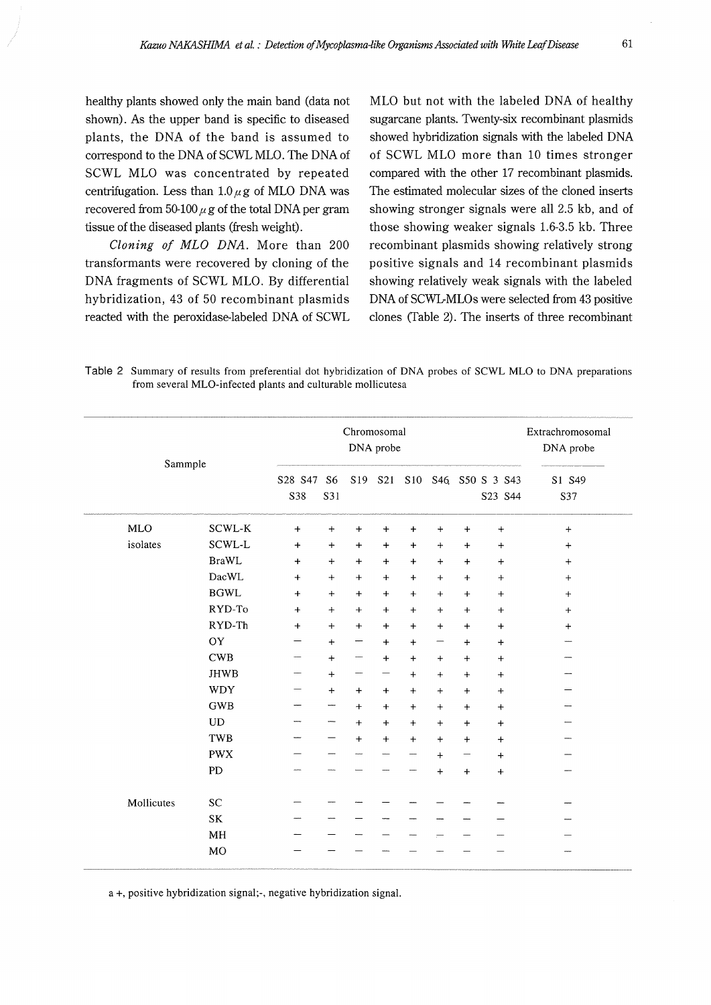healthy plants showed only the main band (data not shown). As the upper band is specific to diseased plants, the DNA of the band is assumed to correspond to the DNA of SCWL MLO. The DNA of SCWL MLO was concentrated by repeated centrifugation. Less than  $1.0 \mu$ g of MLO DNA was recovered from 50-100  $\mu$  g of the total DNA per gram tissue of the diseased plants (fresh weight).

*Cloning of MLO DNA.* More than 200 transformants were recovered by cloning of the DNA fragments of SCWL MLO. By differential hybridization, 43 of 50 recombinant plasmids reacted with the peroxidase-labeled DNA of SCWL MLO but not with the labeled DNA of healthy sugarcane plants. Twenty-six recombinant plasmids showed hybridization signals with the labeled DNA of SCWL MLO more than 10 times stronger compared with the other 17 recombinant plasmids. The estimated molecular sizes of the cloned inserts showing stronger signals were all 2.5 kb, and of those showing weaker signals 1.6-3.5 kb. Three recombinant plasmids showing relatively strong positive signals and 14 recombinant plasmids showing relatively weak signals with the labeled DNA of SCWL-MLOs were selected from 43 positive clones (fable 2). The inserts of three recombinant

Table 2 Summary of results from preferential dot hybridization of DNA probes of SCWL MLO to DNA preparations from several MLO-infected plants and culturable mollicutesa

|            |                       | Chromosomal<br>DNA probe         |                                                                                  |           |           |                                  |                                  |                                  | Extrachromosomal<br>DNA probe |           |  |
|------------|-----------------------|----------------------------------|----------------------------------------------------------------------------------|-----------|-----------|----------------------------------|----------------------------------|----------------------------------|-------------------------------|-----------|--|
|            | Sammple               |                                  | S28 S47<br><b>S21</b><br>S <sub>6</sub><br>S19<br><b>S10</b><br>S46, S50 S 3 S43 |           |           |                                  |                                  |                                  |                               | S1 S49    |  |
|            |                       |                                  |                                                                                  |           |           |                                  |                                  |                                  | S23 S44                       | S37       |  |
| <b>MLO</b> | SCWL-K                | $+$                              | $\! +$                                                                           | $+$       | $+$       | $\ddot{}$                        | $+$                              | $^{+}$                           | $+$                           | $\ddot{}$ |  |
| isolates   | SCWL-L                | $\ddot{}$                        | $\boldsymbol{+}$                                                                 | $\ddot{}$ | $+$       | $\ddot{}$                        | $\ddot{}$                        | $\begin{array}{c} + \end{array}$ | $\ddot{}$                     | $\ddot{}$ |  |
|            | <b>BraWL</b>          | $+$                              | $+$                                                                              | $+$       | $+$       | $\ddot{}$                        | $\ddot{}$                        | $\ddot{}$                        | $\ddot{}$                     | $^{+}$    |  |
|            | DacWL                 | $\ddot{}$                        | $\ddot{}$                                                                        | $+$       | $+$       | $\ddot{}$                        | $+$                              | $+$                              | $+$                           | $\ddot{}$ |  |
|            | $\operatorname{BGWL}$ | $\begin{array}{c} + \end{array}$ | $\begin{array}{c} + \end{array}$                                                 | $\ddot{}$ | $\ddot{}$ | $\ddot{}$                        | $+$                              | $+$                              | $+$                           | $+$       |  |
|            | RYD-To                | $+$                              | $+$                                                                              | $+$       | $+$       | $+$                              | $\ddot{}$                        | $+$                              | $+$                           | $\ddot{}$ |  |
|            | RYD-Th                | $+$                              | $+$                                                                              | $+$       | $\ddot{}$ | $\ddot{}$                        | $\ddot{}$                        | $\ddot{}$                        | $\ddot{}$                     | $\ddag$   |  |
|            | OY                    |                                  | $+$                                                                              |           | $^{+}$    | $\pmb{+}$                        | —                                | $\begin{array}{c} + \end{array}$ | $\div$                        |           |  |
|            | $_{\mathrm{CWB}}$     | ---                              | $+$                                                                              |           | $+$       | $\ddot{}$                        | $\begin{array}{c} + \end{array}$ | $\ddot{}$                        | $\boldsymbol{+}$              |           |  |
|            | <b>JHWB</b>           |                                  | $+$                                                                              |           |           | $^{+}$                           | $+$                              | $\ddot{}$                        | $+$                           |           |  |
|            | <b>WDY</b>            |                                  | $+$                                                                              | $\ddot{}$ | $\ddot{}$ | $+$                              | $\! + \!\!\!\!$                  | $\div$                           | $\ddot{}$                     |           |  |
|            | <b>GWB</b>            |                                  |                                                                                  | $^{+}$    | $+$       | $\ddot{}$                        | $+$                              | $\ddot{}$                        | $+$                           |           |  |
|            | <b>UD</b>             | ----                             | ---                                                                              | $\ddot{}$ | $\ddot{}$ | $^{+}$                           | $+$                              | $\ddot{}$                        | $^{+}$                        |           |  |
|            | TWB                   |                                  |                                                                                  | $\ddot{}$ | $+$       | $\begin{array}{c} + \end{array}$ | $+$                              | $+$                              | $+$                           |           |  |
|            | <b>PWX</b>            |                                  |                                                                                  |           |           |                                  | $+$                              | —                                | $\ddot{}$                     |           |  |
|            | <b>PD</b>             |                                  |                                                                                  |           |           |                                  | $\ddot{}$                        | $+$                              | $+$                           |           |  |
| Mollicutes | SC                    |                                  |                                                                                  |           |           |                                  |                                  |                                  |                               |           |  |
|            | SK                    |                                  |                                                                                  |           |           |                                  |                                  |                                  |                               |           |  |
|            | $\mathbf{MH}$         |                                  |                                                                                  |           |           |                                  |                                  |                                  |                               |           |  |
|            | <b>MO</b>             |                                  |                                                                                  |           |           |                                  |                                  |                                  |                               |           |  |

a+, positive hybridization signal;-, negative hybridization signal.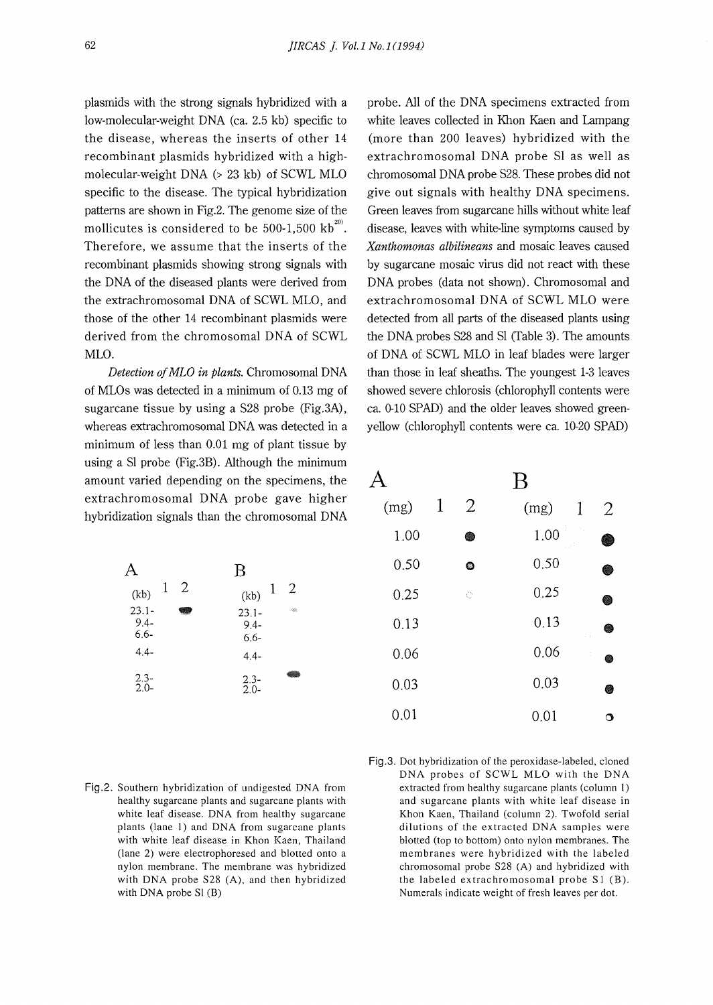plasmids with the strong signals hybridized with a low-molecular-weight DNA (ca. 2.5 kb) specific to the disease, whereas the inserts of other 14 recombinant plasmids hybridized with a highmolecular-weight DNA (> 23 kb) of SCWL MLO specific to the disease. The typical hybridization patterns are shown in Fig.2. The genome size of the mollicutes is considered to be 500-1,500  $\mathrm{kb}^{^{20}}.$ Therefore, we assume that the inserts of the recombinant plasmids showing strong signals with the DNA of the diseased plants were derived from the extrachromosomal DNA of SCWL MLO, and those of the other 14 recombinant plasmids were derived from the chromosomal DNA of SCWL MLO.

*Detection of MLO in plants.* Chromosomal DNA of MLOs was detected in a minimum of 0.13 mg of sugarcane tissue by using a S28 probe (Fig.3A), whereas extrachromosomal DNA was detected in a minimum of less than 0.01 mg of plant tissue by using a SI probe (Fig.3B). Although the minimum amount varied depending on the specimens, the extrachromosomal DNA probe gave higher hybridization signals than the chromosomal DNA

|                               |   |   | $\mathbf B$                  |              |      |
|-------------------------------|---|---|------------------------------|--------------|------|
| (kb)                          | 1 | 2 | (kb)                         | $\mathbf{l}$ | 2    |
| $23.1 -$<br>$9.4 -$<br>$6.6-$ |   |   | $23.1 -$<br>$9.4-$<br>$6.6-$ |              | 1985 |
| $4.4 -$                       |   |   | $4.4-$                       |              |      |
| $2.3-$<br>$2.0 -$             |   |   | $2.3 -$<br>$2.0 -$           |              |      |

Fig.2. Southern hybridization of undigested DNA from healthy sugarcane plants and sugarcane plants with white leaf disease. DNA from healthy sugarcane plants (lane 1) and DNA from sugarcane plants with white leaf disease in Khon Kaen, Thailand (lane 2) were electrophoresed and blotted onto a nylon membrane. The membrane was hybridized with DNA probe S28 (A), and then hybridized with DNA probe SI (B)

probe. All of the DNA specimens extracted from white leaves collected in Khon Kaen and Lampang (more than 200 leaves) hybridized with the extrachromosomal DNA probe SI as well as chromosomal DNA probe S28. These probes did not give out signals with healthy DNA specimens. Green leaves from sugarcane hills without white leaf disease, leaves with white-line symptoms caused by *Xanthomonas albilineans* and mosaic leaves caused by sugarcane mosaic virus did not react with these DNA probes (data not shown). Chromosomal and extrachromosomal DNA of SCWL MLO were detected from all parts of the diseased plants using the DNA probes S28 and SI (fable 3). The amounts of DNA of SCWL MLO in leaf blades were larger than those in leaf sheaths. The youngest 1-3 leaves showed severe chlorosis (chlorophyll contents were ca. 0-10 SPAD) and the older leaves showed greenyellow (chlorophyll contents were ca. 10-20 SPAD)

|      |   |   | $\mathsf B$               |
|------|---|---|---------------------------|
| (mg) | 1 | 2 | (mg)<br>$\mathbf{1}$<br>2 |
| 1.00 |   | 6 | $\sim$<br>1.00<br>2       |
| 0.50 |   | Ø | 0.50<br>参                 |
| 0.25 |   | Ö | 0.25<br>4                 |
| 0.13 |   |   | 0.13<br>❀<br>Σř           |
| 0.06 |   |   | 0.06<br>÷,<br>Q           |
| 0.03 |   |   | 0.03<br>4                 |
| 0.01 |   |   | 0.01                      |

Fig.3. Dot hybridization of the peroxidase-labeled, cloned DNA probes of SCWL MLO with the DNA extracted from healthy sugarcane plants (column 1) and sugarcane plants with white leaf disease in Khon Kaen, Thailand (column 2). Twofold serial dilutions of the extracted DNA samples were blotted (top to bottom) onto nylon membranes. The membranes were hybridized with the labeled chromosomal probe S28 (A) and hybridized with the labeled extrachromosomal probe  $S1$  (B). Numerals indicate weight of fresh leaves per dot.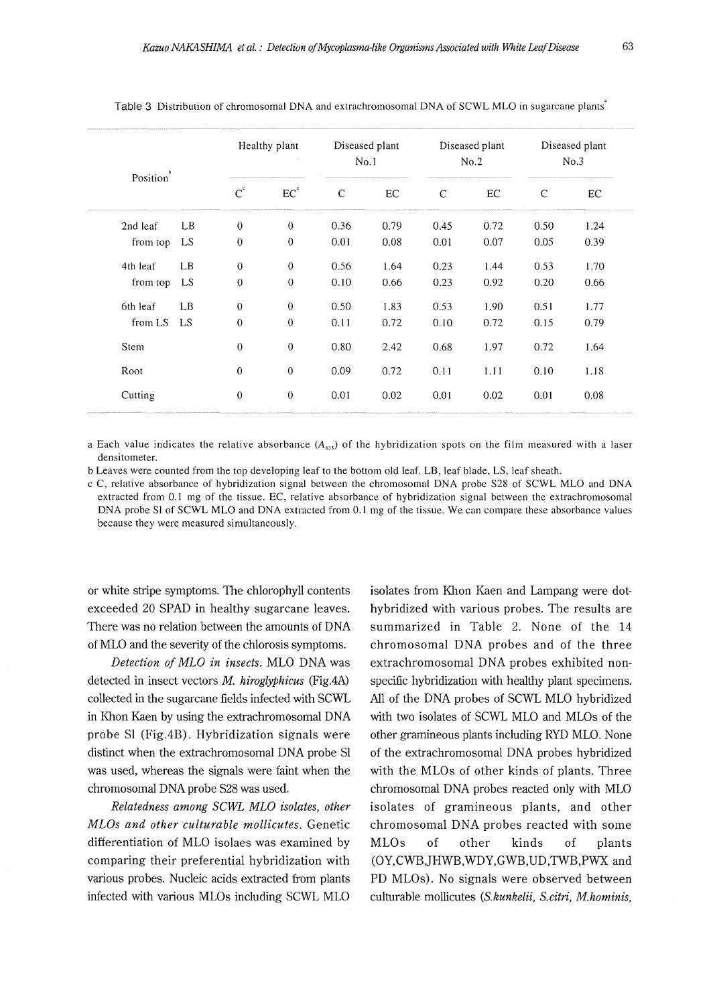|                       |           | Healthy plant       |                  | Diseased plant<br>No.1 |      | Diseased plant<br>No.2 |      | Diseased plant<br>No.3 |      |
|-----------------------|-----------|---------------------|------------------|------------------------|------|------------------------|------|------------------------|------|
| Position <sup>®</sup> |           | $\text{C}^\text{c}$ | $EC^{c}$         | $\mathsf{C}$           | EC   | $\mathsf{C}$           | EC   | $\mathsf{C}$           | EC   |
| 2nd leaf              | LB        | $\boldsymbol{0}$    | $\boldsymbol{0}$ | 0.36                   | 0.79 | 0.45                   | 0.72 | 0.50                   | 1.24 |
| from top              | LS        | $\overline{0}$      | $\boldsymbol{0}$ | 0.01                   | 0.08 | 0.01                   | 0.07 | 0.05                   | 0.39 |
| 4th leaf              | LB        | $\boldsymbol{0}$    | $\boldsymbol{0}$ | 0.56                   | 1.64 | 0.23                   | 1.44 | 0.53                   | 1.70 |
| from top              | LS        | $\overline{0}$      | 0                | 0.10                   | 0.66 | 0.23                   | 0.92 | 0.20                   | 0.66 |
| 6th leaf              | LB        | $\theta$            | $\boldsymbol{0}$ | 0.50                   | 1.83 | 0.53                   | 1.90 | 0.51                   | 1.77 |
| from LS               | <b>LS</b> | $\overline{0}$      | $\overline{0}$   | 0.11                   | 0.72 | 0.10                   | 0.72 | 0.15                   | 0.79 |
| Stem                  |           | $\theta$            | $\boldsymbol{0}$ | 0.80                   | 2.42 | 0.68                   | 1.97 | 0.72                   | 1.64 |
| Root                  |           | $\overline{0}$      | $\boldsymbol{0}$ | 0.09                   | 0.72 | 0.11                   | 1.11 | 0.10                   | 1.18 |
| Cutting               |           | $\boldsymbol{0}$    | $\theta$         | 0.01                   | 0.02 | 0.01                   | 0.02 | 0.01                   | 0.08 |

Table 3 Distribution of chromosomal DNA and extrachromosomal DNA of SCWL MLO in sugarcane plants

a Each value indicates the relative absorbance  $(A_{63})$  of the hybridization spots on the film measured with a laser densitometer.

b Leaves were counted from the top developing leaf to the bottom old leaf. LB, leaf blade, LS, leaf sheath.

c C, relative absorbance of hybridization signal between the chromosomal DNA probe S28 of SCWL MLO and DNA extracted from 0.1 mg of the tissue. EC, relative absorbance of hybridization signal between the extrachromosomal DNA probe SI of SCWL MLO and DNA extracted from 0.1 mg of the tissue. We can compare these absorbance values because they were measured simultaneously.

or white stripe symptoms. The chlorophyll contents exceeded 20 SPAD in healthy sugarcane leaves. There was no relation between the amounts of DNA of MLO and the severity of the chlorosis symptoms.

*Detection of MLO in insects.* MLO DNA was detected in insect vectors *M. hiroglyphicus* (Fig.4A) collected in the sugarcane fields infected with SCWL in Khon Kaen by using the extrachromosomal DNA probe SI (Fig.4B). Hybridization signals were distinct when the extrachromosomal DNA probe SI was used, whereas the signals were faint when the chromosomal DNA probe S28 was used.

*Relatedness among SCWL MLO isolates, other MLOs and other culturable mollicutes.* Genetic differentiation of MLO isolaes was examined by comparing their preferential hybridization with various probes. Nucleic acids extracted from plants infected with various MLOs including SCWL MLO isolates from Khon Kaen and Lampang were dothybridized with various probes. The results are summarized in Table 2. None of the 14 chromosomal DNA probes and of the three extrachromosomal DNA probes exhibited nonspecific hybridization with healthy plant specimens. All of the DNA probes of SCWL MLO hybridized with two isolates of SCWL MLO and MLOs of the other gramineous plants including RYD MLO. None of the extrachromosomal DNA probes hybridized with the MLOs of other kinds of plants. Three chromosomal DNA probes reacted only with MLO isolates of gramineous plants, and other chromosomal DNA probes reacted with some MLOs of other kinds of plants (OY,CWB,JHWB,WDY,GWB,UD,TWB,PWX and PD MLOs). No signals were observed between culturable mollicutes *(S.kunkelii, S.citri, M.hominis,*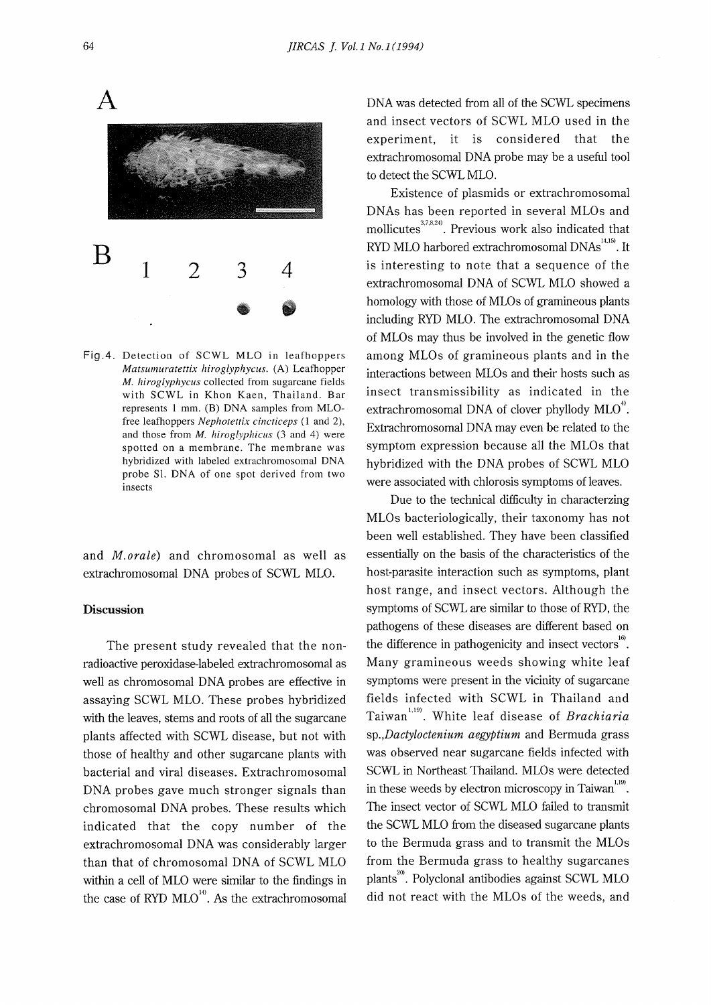

Fig.4. Detection of SCWL MLO in leafhoppers *Matsumuratettix hiroglyphycus.* (A) Leafhopper *M. hiroglyphycus* collected from sugarcane fields with SCWL in Khon Kaen, Thailand. Bar represents I mm. (B) DNA samples from MLOfree leafhoppers *Nephotettix cincticeps* (I and 2), and those from *M. hiroglyphicus* (3 and 4) were spotted on a membrane. The membrane was hybridized with labeled extrachromosomal DNA probe SI. DNA of one spot derived from two insects

and *M.orale)* and chromosomal as well as extrachromosomal DNA probes of SCWL MLO.

#### **Discussion**

The present study revealed that the nonradioactive peroxidase-labeled extrachromosomal as well as chromosomal DNA probes are effective in assaying SCWL MLO. These probes hybridized with the leaves, stems and roots of all the sugarcane plants affected with SCWL disease, but not with those of healthy and other sugarcane plants with bacterial and viral diseases. Extrachromosomal DNA probes gave much stronger signals than chromosomal DNA probes. These results which indicated that the copy number of the extrachromosomal DNA was considerably larger than that of chromosomal DNA of SCWL MLO within a cell of MLO were similar to the findings in the case of RYD  $MLO<sup>14</sup>$ . As the extrachromosomal DNA was detected from all of the SCWL specimens and insect vectors of SCWL MLO used in the experiment, it is considered that the extrachromosomal DNA probe may be a useful tool to detect the SCWL MLO.

Existence of plasmids or extrachromosomal DNAs has been reported in several MLOs and mollicutes<sup>3,7,8,24</sup>). Previous work also indicated that RYD MLO harbored extrachromosomal DNAs<sup>14,15</sup>. It is interesting to note that a sequence of the extrachromosomal DNA of SCWL MLO showed a homology with those of MLOs of gramineous plants including RYD MLO. The extrachromosomal DNA of MLOs may thus be involved in the genetic flow among MLOs of gramineous plants and in the interactions between MLOs and their hosts such as insect transmissibility as indicated in the extrachromosomal DNA of clover phyllody  $MLO<sup>4</sup>$ . Extrachromosomal DNA may even be related to the symptom expression because all the MLOs that hybridized with the DNA probes of SCWL MLO were associated with chlorosis symptoms of leaves.

Due to the technical difficulty in characterzing MLOs bacteriologically, their taxonomy has not been well established. They have been classified essentially on the basis of the characteristics of the host-parasite interaction such as symptoms, plant host range, and insect vectors. Although the symptoms of SCWL are similar to those of RYD, the pathogens of these diseases are different based on the difference in pathogenicity and insect vectors<sup>16</sup>. Many gramineous weeds showing white leaf symptoms were present in the vicinity of sugarcane fields infected with SCWL in Thailand and Taiwan 1.1 9 ). White leaf disease of *Brachiaria sp.,Dactyloctenium aegyptium* and Bermuda grass was observed near sugarcane fields infected with SCWL in Northeast Thailand. MLOs were detected in these weeds by electron microscopy in Taiwan<sup>1.19</sup>. The insect vector of SCWL MLO failed to transmit the SCWL MLO from the diseased sugarcane plants to the Bermuda grass and to transmit the MLOs from the Bermuda grass to healthy sugarcanes plants<sup>200</sup>. Polyclonal antibodies against SCWL MLO did not react with the MLOs of the weeds, and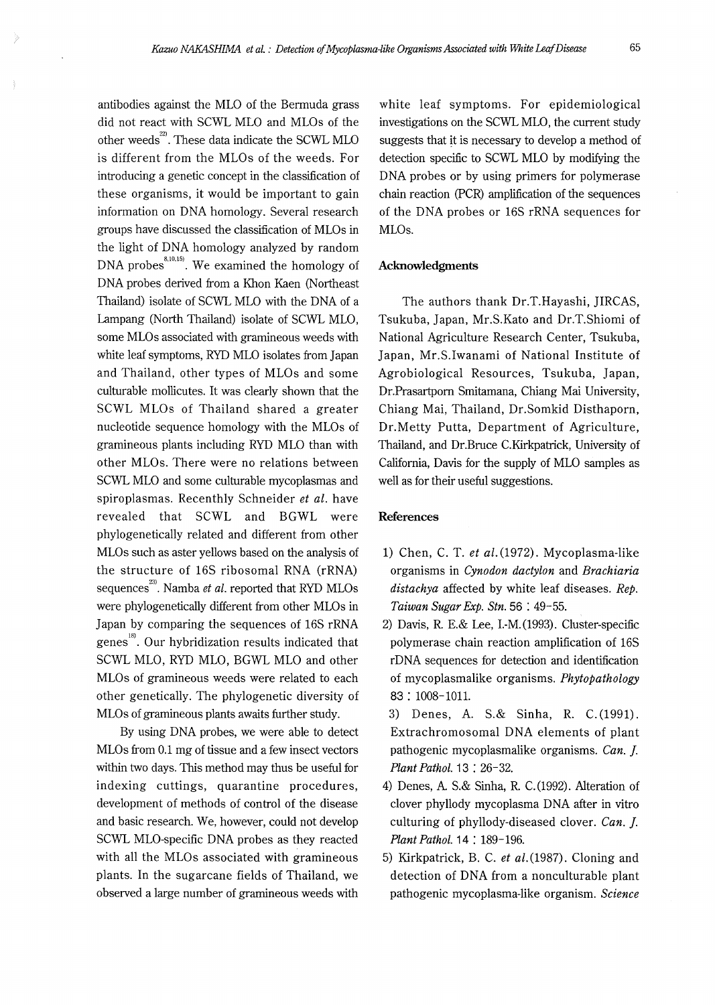antibodies against the MLO of the Bermuda grass did not react with SCWL MLO and MLOs of the other weeds<sup>22</sup>. These data indicate the SCWL MLO is different from the MLOs of the weeds. For introducing a genetic concept in the classification of these organisms, it would be important to gain information on DNA homology. Several research groups have discussed the classification of MLOs in the light of DNA homology analyzed by random DNA probes  $\sum_{n=1}^{\infty}$  We examined the homology of DNA probes derived from a Khon Kaen (Northeast Thailand) isolate of SCWL MLO with the DNA of a Lampang (North Thailand) isolate of SCWL MLO, some MLOs associated with gramineous weeds with white leaf symptoms, RYD MLO isolates from Japan and Thailand, other types of MLOs and some culturable mollicutes. It was clearly shown that the SCWL MLOs of Thailand shared a greater nucleotide sequence homology with the MLOs of gramineous plants including RYD MLO than with other MLOs. There were no relations between SCWL MLO and some culturable mycoplasmas and spiroplasmas. Recenthly Schneider *et al.* have revealed that SCWL and BGWL were phylogenetically related and different from other MLOs such as aster yellows based on the analysis of the structure of 16S ribosomal RNA (rRNA) sequences<sup>23)</sup>. Namba *et al*. reported that RYD MLOs were phylogenetically different from other MLOs in Japan by comparing the sequences of 16S rRNA genes<sup>18</sup>. Our hybridization results indicated that SCWL MLO, RYD MLO, BGWL MLO and other MLOs of gramineous weeds were related to each other genetically. The phylogenetic diversity of MLOs of gramineous plants awaits further study.

By using DNA probes, we were able to detect MLOs from 0.1 mg of tissue and a few insect vectors within two days. This method may thus be useful for indexing cuttings, quarantine procedures, development of methods of control of the disease and basic research. We, however, could not develop SCWL MLO-specific DNA probes as they reacted with all the MLOs associated with gramineous plants. In the sugarcane fields of Thailand, we observed a large number of gramineous weeds with white leaf symptoms. For epidemiological investigations on the SCWL MLO, the current study suggests that it is necessary to develop a method of detection specific to SCWL MLO by modifying the DNA probes or by using primers for polymerase chain reaction (PCR) amplification of the sequences of the DNA probes or 16S rRNA sequences for MLOs.

#### **Acknowledgments**

The authors thank Dr.T.Hayashi, JIRCAS, Tsukuba, Japan, Mr.S.Kato and Dr.T.Shiomi of National Agriculture Research Center, Tsukuba, Japan, Mr.S.Iwanami of National Institute of Agrobiological Resources, Tsukuba, Japan, Dr.Prasartpom Smitamana, Chiang Mai University, Chiang Mai, Thailand, Dr.Somkid Disthaporn, Dr.Metty Putta, Department of Agriculture, Thailand, and Dr.Bruce C.Kirkpatrick, University of California, Davis for the supply of MLO samples as well as for their useful suggestions.

#### **References**

- 1) Chen, C. T. *et al.* (1972). Mycoplasma-like organisms in *Cynodon dactylon* and *Brachiaria distachya* affected by white leaf diseases. *Rep. Taiwan Sugar Exp. Stn.* 56: 49-55.
- 2) Davis, R E.& Lee, I.-M. (1993). Cluster-specific polymerase chain reaction amplification of 16S rDNA sequences for detection and identification of mycoplasmalike organisms. *Phytopathology*  83 : 1008-1011.
- 3) Denes, A. S.& Sinha, R. C. (1991). Extrachromosomal DNA elements of plant pathogenic mycoplasmalike organisms. *Can. ]. Plant Pathol.* 13 : 26-32.
- 4) Denes, A S.& Sinha, R C. (1992). Alteration of clover phyllody mycoplasma DNA after in vitro culturing of phyllody-diseased clover. *Can. ]. Plant Pathol.* 14 : 189-196.
- 5) Kirkpatrick, B. C. *et al.* (1987). Cloning and detection of DNA from a nonculturable plant pathogenic mycoplasma-like organism. *Science*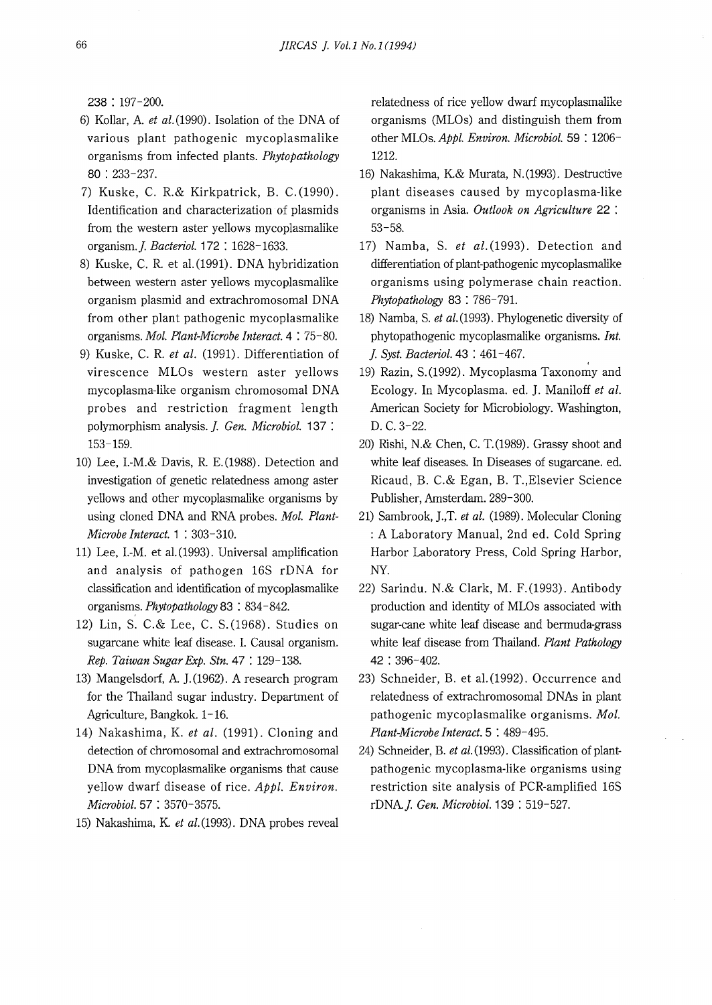238 : 197-200.

- 6) Kollar, A *et al.(1990).* Isolation of the DNA of various plant pathogenic mycoplasmalike organisms from infected plants. *Phytopathology*  80 : 233-237.
- 7) Kuske, C. R.& Kirkpatrick, B. C. (1990). Identification and characterization of plasmids from the western aster yellows mycoplasmalike organism. *J. Bacteriol.* **172 : 1628-1633.**
- 8) Kuske, C. R. et al. (1991). DNA hybridization between western aster yellows mycoplasmalike organism plasmid and extrachromosomal DNA from other plant pathogenic mycoplasmalike organisms. *Mo!. Plant-Microbe Interact.* 4 : 75-80.
- 9) Kuske, C. R. *et al.* (1991). Differentiation of virescence MLOs western aster yellows mycoplasma-like organism chromosomal DNA probes and restriction fragment length polymorphism analysis. *J. Gen. Microbiol.* 137 : 153-159.
- 10) Lee, 1.-M.& Davis, R. E.(1988). Detection and investigation of genetic relatedness among aster yellows and other mycoplasmalike organisms by using cloned DNA and RNA probes. *Mol. Plant-Microbe Interact.* 1 : 303-310.
- 11) Lee, 1.-M. et al.(1993). Universal amplification and analysis of pathogen 16S rDNA for classification and identification of mycoplasmalike organisms. *Phytopathology* 83 : 834-842.
- 12) Lin, S. C.& Lee, C. S. (1968). Studies on sugarcane white leaf disease. I. Causal organism. *Rep. Taiwan Sugar Exp. Stn.* 47: 129-138.
- 13) Mangelsdorf, A J. (1962). A research program for the Thailand sugar industry. Department of Agriculture, Bangkok. 1-16.
- 14) Nakashima, K. *et al.* (1991). Cloning and detection of chromosomal and extrachromosomal DNA from mycoplasmalike organisms that cause yellow dwarf disease of rice. *Appl. Environ. Microbial.* 57 : 3570-3575.
- 15) Nakashima, K *et* al.(1993). DNA probes reveal

relatedness of rice yellow dwarf mycoplasmalike organisms (MLOs) and distinguish them from other MLOs. *Appl. Environ. Microbial.* 59 : 1206- 1212.

- 16) Nakashima, K& Murata, N.(1993). Destructive plant diseases caused by mycoplasma-like organisms in Asia. *Outlook on Agriculture* 22 : 53-58.
- 17) Namba, S. et al. (1993). Detection and differentiation of plant-pathogenic mycoplasmalike organisms using polymerase chain reaction. *Phytopathology* 83 : 786-791.
- 18) Namba, S. *et* al.(1993). Phylogenetic diversity of phytopathogenic mycoplasmalike organisms. *Int.*  J *Syst. Bacterial.* 43 : 461-467.
- ' 19) Razin, S. (1992). Mycoplasma Taxonomy and Ecology. In Mycoplasma. ed. J. Maniloff *et al.*  American Society for Microbiology. Washington, D. C. 3-22.
- 20) Rishi, N.& Chen, C. T.(1989). Grassy shoot and white leaf diseases. In Diseases of sugarcane. ed. Ricaud, B. C.& Egan, B. T.,Elsevier Science Publisher, Amsterdam. 289-300.
- 21) Sambrook, J.,T. *et al.* (1989). Molecular Cloning : A Laboratory Manual, 2nd ed. Cold Spring Harbor Laboratory Press, Cold Spring Harbor, NY.
- 22) Sarindu. N.& Clark, M. F.(1993). Antibody production and identity of MLOs associated with sugar-cane white leaf disease and bermuda-grass white leaf disease from Thailand. *Plant Pathology*  **42** : 396-402.
- 23) Schneider, B. et al. (1992). Occurrence and relatedness of extrachromosomal DNAs in plant pathogenic mycoplasmalike organisms. *Mot. Plant-Microbe Interact.* **5** : 489-495.
- 24) Schneider, B. *et al.* (1993). Classification of plantpathogenic mycoplasma-like organisms using restriction site analysis of PCR-amplified 16S *rDNA.J Gen. Microbial.* 139: 519-527.